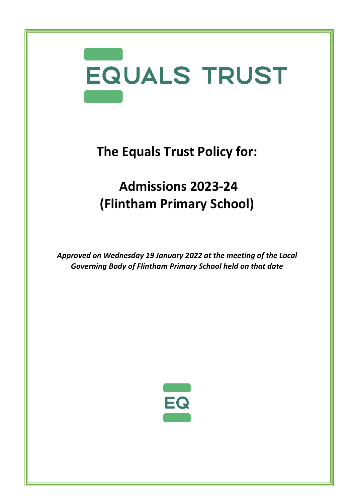

**The Equals Trust Policy for:**

## **Admissions 2023-24 (Flintham Primary School)**

*Approved on Wednesday 19 January 2022 at the meeting of the Local Governing Body of Flintham Primary School held on that date*

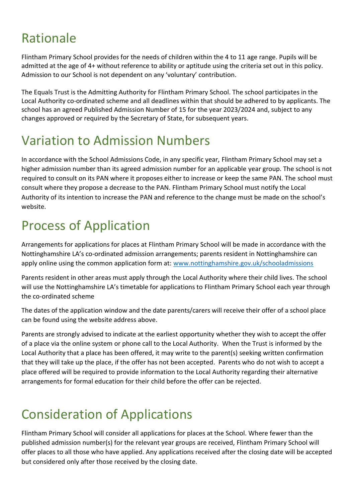## Rationale

Flintham Primary School provides for the needs of children within the 4 to 11 age range. Pupils will be admitted at the age of 4+ without reference to ability or aptitude using the criteria set out in this policy. Admission to our School is not dependent on any 'voluntary' contribution.

The Equals Trust is the Admitting Authority for Flintham Primary School. The school participates in the Local Authority co-ordinated scheme and all deadlines within that should be adhered to by applicants. The school has an agreed Published Admission Number of 15 for the year 2023/2024 and, subject to any changes approved or required by the Secretary of State, for subsequent years.

## Variation to Admission Numbers

In accordance with the School Admissions Code, in any specific year, Flintham Primary School may set a higher admission number than its agreed admission number for an applicable year group. The school is not required to consult on its PAN where it proposes either to increase or keep the same PAN. The school must consult where they propose a decrease to the PAN. Flintham Primary School must notify the Local Authority of its intention to increase the PAN and reference to the change must be made on the school's website.

## Process of Application

Arrangements for applications for places at Flintham Primary School will be made in accordance with the Nottinghamshire LA's co-ordinated admission arrangements; parents resident in Nottinghamshire can apply online using the common application form at: [www.nottinghamshire.gov.uk/schooladmissions](http://www.nottinghamshire.gov.uk/schooladmissions)

Parents resident in other areas must apply through the Local Authority where their child lives. The school will use the Nottinghamshire LA's timetable for applications to Flintham Primary School each year through the co-ordinated scheme

The dates of the application window and the date parents/carers will receive their offer of a school place can be found using the website address above.

Parents are strongly advised to indicate at the earliest opportunity whether they wish to accept the offer of a place via the online system or phone call to the Local Authority. When the Trust is informed by the Local Authority that a place has been offered, it may write to the parent(s) seeking written confirmation that they will take up the place, if the offer has not been accepted. Parents who do not wish to accept a place offered will be required to provide information to the Local Authority regarding their alternative arrangements for formal education for their child before the offer can be rejected.

# Consideration of Applications

Flintham Primary School will consider all applications for places at the School. Where fewer than the published admission number(s) for the relevant year groups are received, Flintham Primary School will offer places to all those who have applied. Any applications received after the closing date will be accepted but considered only after those received by the closing date.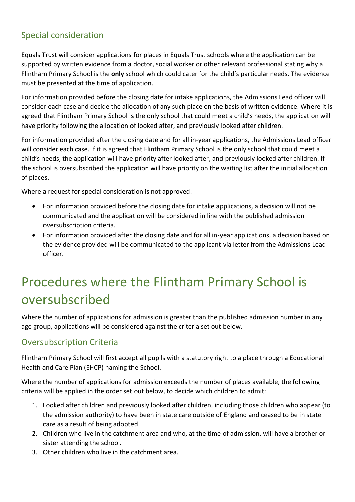#### Special consideration

Equals Trust will consider applications for places in Equals Trust schools where the application can be supported by written evidence from a doctor, social worker or other relevant professional stating why a Flintham Primary School is the **only** school which could cater for the child's particular needs. The evidence must be presented at the time of application.

For information provided before the closing date for intake applications, the Admissions Lead officer will consider each case and decide the allocation of any such place on the basis of written evidence. Where it is agreed that Flintham Primary School is the only school that could meet a child's needs, the application will have priority following the allocation of looked after, and previously looked after children.

For information provided after the closing date and for all in-year applications, the Admissions Lead officer will consider each case. If it is agreed that Flintham Primary School is the only school that could meet a child's needs, the application will have priority after looked after, and previously looked after children. If the school is oversubscribed the application will have priority on the waiting list after the initial allocation of places.

Where a request for special consideration is not approved:

- For information provided before the closing date for intake applications, a decision will not be communicated and the application will be considered in line with the published admission oversubscription criteria.
- For information provided after the closing date and for all in-year applications, a decision based on the evidence provided will be communicated to the applicant via letter from the Admissions Lead officer.

## Procedures where the Flintham Primary School is oversubscribed

Where the number of applications for admission is greater than the published admission number in any age group, applications will be considered against the criteria set out below.

#### Oversubscription Criteria

Flintham Primary School will first accept all pupils with a statutory right to a place through a Educational Health and Care Plan (EHCP) naming the School.

Where the number of applications for admission exceeds the number of places available, the following criteria will be applied in the order set out below, to decide which children to admit:

- 1. Looked after children and previously looked after children, including those children who appear (to the admission authority) to have been in state care outside of England and ceased to be in state care as a result of being adopted.
- 2. Children who live in the catchment area and who, at the time of admission, will have a brother or sister attending the school.
- 3. Other children who live in the catchment area.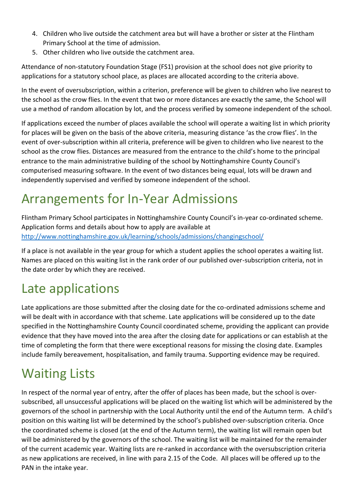- 4. Children who live outside the catchment area but will have a brother or sister at the Flintham Primary School at the time of admission.
- 5. Other children who live outside the catchment area.

Attendance of non-statutory Foundation Stage (FS1) provision at the school does not give priority to applications for a statutory school place, as places are allocated according to the criteria above.

In the event of oversubscription, within a criterion, preference will be given to children who live nearest to the school as the crow flies. In the event that two or more distances are exactly the same, the School will use a method of random allocation by lot, and the process verified by someone independent of the school.

If applications exceed the number of places available the school will operate a waiting list in which priority for places will be given on the basis of the above criteria, measuring distance 'as the crow flies'. In the event of over-subscription within all criteria, preference will be given to children who live nearest to the school as the crow flies. Distances are measured from the entrance to the child's home to the principal entrance to the main administrative building of the school by Nottinghamshire County Council's computerised measuring software. In the event of two distances being equal, lots will be drawn and independently supervised and verified by someone independent of the school.

## Arrangements for In-Year Admissions

Flintham Primary School participates in Nottinghamshire County Council's in-year co-ordinated scheme. Application forms and details about how to apply are available at <http://www.nottinghamshire.gov.uk/learning/schools/admissions/changingschool/>

If a place is not available in the year group for which a student applies the school operates a waiting list. Names are placed on this waiting list in the rank order of our published over-subscription criteria, not in the date order by which they are received.

### Late applications

Late applications are those submitted after the closing date for the co-ordinated admissions scheme and will be dealt with in accordance with that scheme. Late applications will be considered up to the date specified in the Nottinghamshire County Council coordinated scheme, providing the applicant can provide evidence that they have moved into the area after the closing date for applications or can establish at the time of completing the form that there were exceptional reasons for missing the closing date. Examples include family bereavement, hospitalisation, and family trauma. Supporting evidence may be required.

# Waiting Lists

In respect of the normal year of entry, after the offer of places has been made, but the school is oversubscribed, all unsuccessful applications will be placed on the waiting list which will be administered by the governors of the school in partnership with the Local Authority until the end of the Autumn term. A child's position on this waiting list will be determined by the school's published over-subscription criteria. Once the coordinated scheme is closed (at the end of the Autumn term), the waiting list will remain open but will be administered by the governors of the school. The waiting list will be maintained for the remainder of the current academic year. Waiting lists are re-ranked in accordance with the oversubscription criteria as new applications are received, in line with para 2.15 of the Code. All places will be offered up to the PAN in the intake year.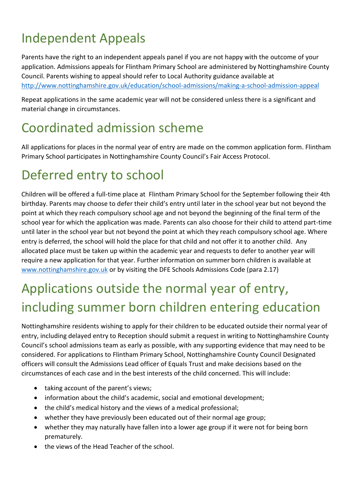# Independent Appeals

Parents have the right to an independent appeals panel if you are not happy with the outcome of your application. Admissions appeals for Flintham Primary School are administered by Nottinghamshire County Council. Parents wishing to appeal should refer to Local Authority guidance available at <http://www.nottinghamshire.gov.uk/education/school-admissions/making-a-school-admission-appeal>

Repeat applications in the same academic year will not be considered unless there is a significant and material change in circumstances.

### Coordinated admission scheme

All applications for places in the normal year of entry are made on the common application form. Flintham Primary School participates in Nottinghamshire County Council's Fair Access Protocol.

## Deferred entry to school

Children will be offered a full-time place at Flintham Primary School for the September following their 4th birthday. Parents may choose to defer their child's entry until later in the school year but not beyond the point at which they reach compulsory school age and not beyond the beginning of the final term of the school year for which the application was made. Parents can also choose for their child to attend part-time until later in the school year but not beyond the point at which they reach compulsory school age. Where entry is deferred, the school will hold the place for that child and not offer it to another child. Any allocated place must be taken up within the academic year and requests to defer to another year will require a new application for that year. Further information on summer born children is available at [www.nottinghamshire.gov.uk](http://www.nottinghamshire.gov.uk/) or by visiting the DFE Schools Admissions Code (para 2.17)

# Applications outside the normal year of entry, including summer born children entering education

Nottinghamshire residents wishing to apply for their children to be educated outside their normal year of entry, including delayed entry to Reception should submit a request in writing to Nottinghamshire County Council's school admissions team as early as possible, with any supporting evidence that may need to be considered. For applications to Flintham Primary School, Nottinghamshire County Council Designated officers will consult the Admissions Lead officer of Equals Trust and make decisions based on the circumstances of each case and in the best interests of the child concerned. This will include:

- taking account of the parent's views;
- information about the child's academic, social and emotional development;
- the child's medical history and the views of a medical professional;
- whether they have previously been educated out of their normal age group;
- whether they may naturally have fallen into a lower age group if it were not for being born prematurely.
- the views of the Head Teacher of the school.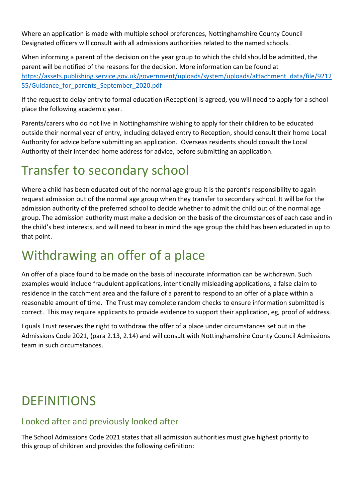Where an application is made with multiple school preferences, Nottinghamshire County Council Designated officers will consult with all admissions authorities related to the named schools.

When informing a parent of the decision on the year group to which the child should be admitted, the parent will be notified of the reasons for the decision. More information can be found at [https://assets.publishing.service.gov.uk/government/uploads/system/uploads/attachment\\_data/file/9212](https://assets.publishing.service.gov.uk/government/uploads/system/uploads/attachment_data/file/921255/Guidance_for_parents_September_2020.pdf) 55/Guidance for parents September 2020.pdf

If the request to delay entry to formal education (Reception) is agreed, you will need to apply for a school place the following academic year.

Parents/carers who do not live in Nottinghamshire wishing to apply for their children to be educated outside their normal year of entry, including delayed entry to Reception, should consult their home Local Authority for advice before submitting an application. Overseas residents should consult the Local Authority of their intended home address for advice, before submitting an application.

### Transfer to secondary school

Where a child has been educated out of the normal age group it is the parent's responsibility to again request admission out of the normal age group when they transfer to secondary school. It will be for the admission authority of the preferred school to decide whether to admit the child out of the normal age group. The admission authority must make a decision on the basis of the circumstances of each case and in the child's best interests, and will need to bear in mind the age group the child has been educated in up to that point.

### Withdrawing an offer of a place

An offer of a place found to be made on the basis of inaccurate information can be withdrawn. Such examples would include fraudulent applications, intentionally misleading applications, a false claim to residence in the catchment area and the failure of a parent to respond to an offer of a place within a reasonable amount of time. The Trust may complete random checks to ensure information submitted is correct. This may require applicants to provide evidence to support their application, eg, proof of address.

Equals Trust reserves the right to withdraw the offer of a place under circumstances set out in the Admissions Code 2021, (para 2.13, 2.14) and will consult with Nottinghamshire County Council Admissions team in such circumstances.

### **DEFINITIONS**

#### Looked after and previously looked after

The School Admissions Code 2021 states that all admission authorities must give highest priority to this group of children and provides the following definition: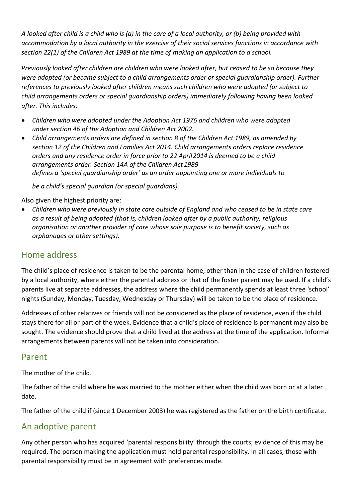*A looked after child is a child who is (a) in the care of a local authority, or (b) being provided with accommodation by a local authority in the exercise of their social services functions in accordance with section 22(1) of the Children Act 1989 at the time of making an application to a school.*

*Previously looked after children are children who were looked after, but ceased to be so because they were adopted (or became subject to a child arrangements order or special guardianship order). Further references to previously looked after children means such children who were adopted (or subject to child arrangements orders or special guardianship orders) immediately following having been looked after. This includes:*

- *Children who were adopted under the Adoption Act 1976 and children who were adopted under section 46 of the Adoption and Children Act 2002.*
- *Child arrangements orders are defined in section 8 of the Children Act 1989, as amended by section 12 of the Children and Families Act 2014. Child arrangements orders replace residence orders and any residence order in force prior to 22 April2014 is deemed to be a child arrangements order. Section 14A of the Children Act1989 defines a 'special guardianship order' as an order appointing one or more individuals to*

*be a child's special guardian (or special guardians).*

Also given the highest priority are:

• *Children who were previously in state care outside of England and who ceased to be in state care as a result of being adopted (that is, children looked after by a public authority, religious organisation or another provider of care whose sole purpose is to benefit society, such as orphanages or other settings).*

#### Home address

The child's place of residence is taken to be the parental home, other than in the case of children fostered by a local authority, where either the parental address or that of the foster parent may be used. If a child's parents live at separate addresses, the address where the child permanently spends at least three 'school' nights (Sunday, Monday, Tuesday, Wednesday or Thursday) will be taken to be the place of residence.

Addresses of other relatives or friends will not be considered as the place of residence, even if the child stays there for all or part of the week. Evidence that a child's place of residence is permanent may also be sought. The evidence should prove that a child lived at the address at the time of the application. Informal arrangements between parents will not be taken into consideration.

#### Parent

The mother of the child.

The father of the child where he was married to the mother either when the child was born or at a later date.

The father of the child if (since 1 December 2003) he was registered as the father on the birth certificate.

#### An adoptive parent

Any other person who has acquired 'parental responsibility' through the courts; evidence of this may be required. The person making the application must hold parental responsibility. In all cases, those with parental responsibility must be in agreement with preferences made.